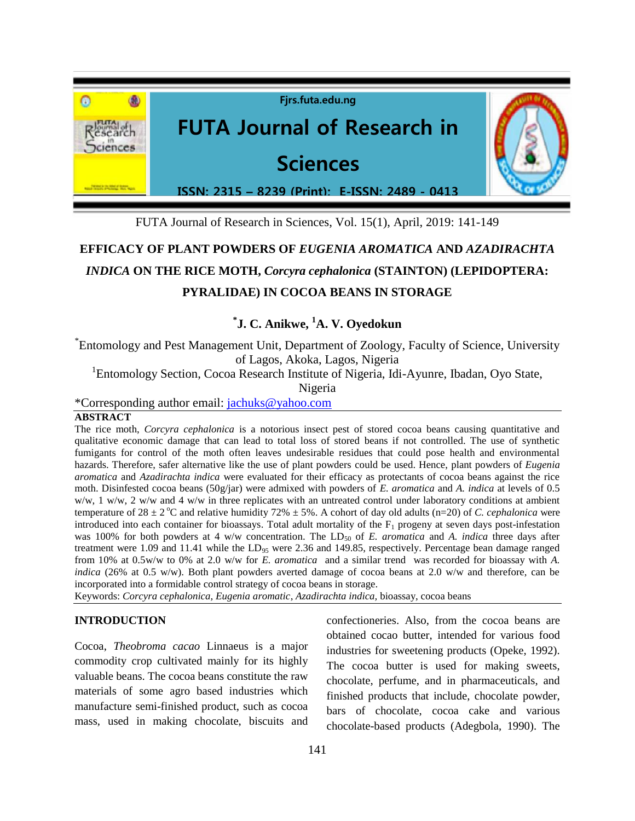

FUTA Journal of Research in Sciences, Vol. 15(1), April, 2019: 141-149

# **EFFICACY OF PLANT POWDERS OF** *EUGENIA AROMATICA* **AND** *AZADIRACHTA INDICA* **ON THE RICE MOTH,** *Corcyra cephalonica* **(STAINTON) (LEPIDOPTERA: PYRALIDAE) IN COCOA BEANS IN STORAGE**

## **\* J. C. Anikwe, <sup>1</sup>A. V. Oyedokun**

\* Entomology and Pest Management Unit, Department of Zoology, Faculty of Science, University of Lagos, Akoka, Lagos, Nigeria

<sup>1</sup>Entomology Section, Cocoa Research Institute of Nigeria, Idi-Ayunre, Ibadan, Oyo State,

Nigeria

\*Corresponding author email: [jachuks@yahoo.com](mailto:jachuks@yahoo.com)

## **ABSTRACT**

The rice moth, *Corcyra cephalonica* is a notorious insect pest of stored cocoa beans causing quantitative and qualitative economic damage that can lead to total loss of stored beans if not controlled. The use of synthetic fumigants for control of the moth often leaves undesirable residues that could pose health and environmental hazards. Therefore, safer alternative like the use of plant powders could be used. Hence, plant powders of *Eugenia aromatica* and *Azadirachta indica* were evaluated for their efficacy as protectants of cocoa beans against the rice moth. Disinfested cocoa beans (50g/jar) were admixed with powders of *E. aromatica* and *A. indica* at levels of 0.5  $w/w$ , 1 w/w, 2 w/w and 4 w/w in three replicates with an untreated control under laboratory conditions at ambient temperature of  $28 \pm 2$  °C and relative humidity 72%  $\pm 5$ %. A cohort of day old adults (n=20) of *C. cephalonica* were introduced into each container for bioassays. Total adult mortality of the  $F_1$  progeny at seven days post-infestation was 100% for both powders at 4 w/w concentration. The LD<sub>50</sub> of *E. aromatica* and *A. indica* three days after treatment were 1.09 and 11.41 while the LD<sub>95</sub> were 2.36 and 149.85, respectively. Percentage bean damage ranged from 10% at 0.5w/w to 0% at 2.0 w/w for *E. aromatica* and a similar trend was recorded for bioassay with *A. indica* (26% at 0.5 w/w). Both plant powders averted damage of cocoa beans at 2.0 w/w and therefore, can be incorporated into a formidable control strategy of cocoa beans in storage.

Keywords: *Corcyra cephalonica, Eugenia aromatic*, *Azadirachta indica,* bioassay, cocoa beans

## **INTRODUCTION**

Cocoa, *Theobroma cacao* Linnaeus is a major commodity crop cultivated mainly for its highly valuable beans. The cocoa beans constitute the raw materials of some agro based industries which manufacture semi-finished product, such as cocoa mass, used in making chocolate, biscuits and confectioneries. Also, from the cocoa beans are obtained cocao butter, intended for various food industries for sweetening products (Opeke, 1992). The cocoa butter is used for making sweets, chocolate, perfume, and in pharmaceuticals, and finished products that include, chocolate powder, bars of chocolate, cocoa cake and various chocolate-based products (Adegbola, 1990). The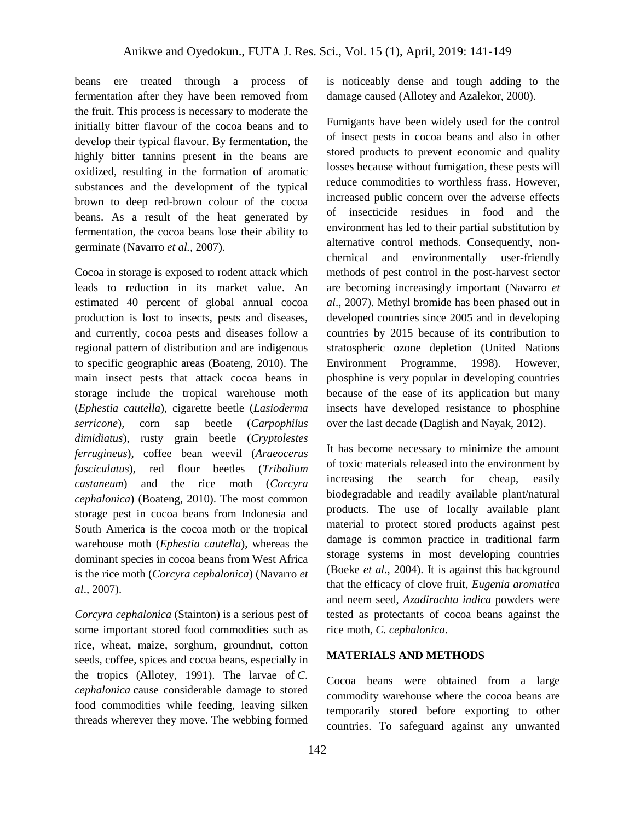beans ere treated through a process of fermentation after they have been removed from the fruit. This process is necessary to moderate the initially bitter flavour of the cocoa beans and to develop their typical flavour. By fermentation, the highly bitter tannins present in the beans are oxidized, resulting in the formation of aromatic substances and the development of the typical brown to deep red-brown colour of the cocoa beans. As a result of the heat generated by fermentation, the cocoa beans lose their ability to germinate (Navarro *et al.,* 2007).

Cocoa in storage is exposed to rodent attack which leads to reduction in its market value. An estimated 40 percent of global annual cocoa production is lost to insects, pests and diseases, and currently, cocoa pests and diseases follow a regional pattern of distribution and are indigenous to specific geographic areas (Boateng, 2010). The main insect pests that attack cocoa beans in storage include the tropical warehouse moth (*Ephestia cautella*), cigarette beetle (*Lasioderma serricone*), corn sap beetle (*Carpophilus dimidiatus*), rusty grain beetle (*Cryptolestes ferrugineus*), coffee bean weevil (*Araeocerus fasciculatus*), red flour beetles (*Tribolium castaneum*) and the rice moth (*Corcyra cephalonica*) (Boateng, 2010). The most common storage pest in cocoa beans from Indonesia and South America is the cocoa moth or the tropical warehouse moth (*Ephestia cautella*), whereas the dominant species in cocoa beans from West Africa is the rice moth (*Corcyra cephalonica*) (Navarro *et al*., 2007).

*Corcyra cephalonica* (Stainton) is a serious pest of some important stored food commodities such as rice, wheat, maize, sorghum, groundnut, cotton seeds, coffee, spices and cocoa beans, especially in the tropics (Allotey, 1991). The larvae of *C. cephalonica* cause considerable damage to stored food commodities while feeding, leaving silken threads wherever they move. The webbing formed is noticeably dense and tough adding to the damage caused (Allotey and Azalekor, 2000).

Fumigants have been widely used for the control of insect pests in cocoa beans and also in other stored products to prevent economic and quality losses because without fumigation, these pests will reduce commodities to worthless frass. However, increased public concern over the adverse effects of insecticide residues in food and the environment has led to their partial substitution by alternative control methods. Consequently, nonchemical and environmentally user-friendly methods of pest control in the post-harvest sector are becoming increasingly important (Navarro *et al*., 2007). Methyl bromide has been phased out in developed countries since 2005 and in developing countries by 2015 because of its contribution to stratospheric ozone depletion (United Nations Environment Programme, 1998). However, phosphine is very popular in developing countries because of the ease of its application but many insects have developed resistance to phosphine over the last decade (Daglish and Nayak, 2012).

It has become necessary to minimize the amount of toxic materials released into the environment by increasing the search for cheap, easily biodegradable and readily available plant/natural products. The use of locally available plant material to protect stored products against pest damage is common practice in traditional farm storage systems in most developing countries (Boeke *et al*., 2004). It is against this background that the efficacy of clove fruit, *Eugenia aromatica* and neem seed, *Azadirachta indica* powders were tested as protectants of cocoa beans against the rice moth, *C. cephalonica*.

## **MATERIALS AND METHODS**

Cocoa beans were obtained from a large commodity warehouse where the cocoa beans are temporarily stored before exporting to other countries. To safeguard against any unwanted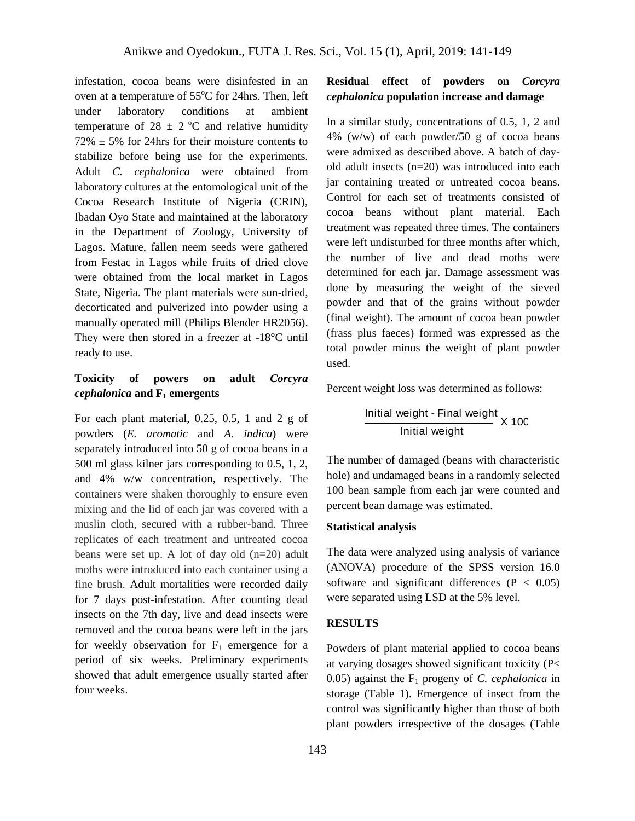infestation, cocoa beans were disinfested in an oven at a temperature of 55°C for 24hrs. Then, left under laboratory conditions at ambient temperature of 28  $\pm$  2 °C and relative humidity  $72\% \pm 5\%$  for 24hrs for their moisture contents to stabilize before being use for the experiments. Adult *C. cephalonica* were obtained from laboratory cultures at the entomological unit of the Cocoa Research Institute of Nigeria (CRIN), Ibadan Oyo State and maintained at the laboratory in the Department of Zoology, University of Lagos. Mature, fallen neem seeds were gathered from Festac in Lagos while fruits of dried clove were obtained from the local market in Lagos State, Nigeria. The plant materials were sun-dried, decorticated and pulverized into powder using a manually operated mill (Philips Blender HR2056). They were then stored in a freezer at -18°C until ready to use.

## **Toxicity of powers on adult** *Corcyra cephalonica* **and F<sup>1</sup> emergents**

For each plant material, 0.25, 0.5, 1 and 2 g of powders (*E. aromatic* and *A. indica*) were separately introduced into 50 g of cocoa beans in a 500 ml glass kilner jars corresponding to 0.5, 1, 2, and 4% w/w concentration, respectively. The containers were shaken thoroughly to ensure even mixing and the lid of each jar was covered with a muslin cloth, secured with a rubber-band. Three replicates of each treatment and untreated cocoa beans were set up. A lot of day old (n=20) adult moths were introduced into each container using a fine brush. Adult mortalities were recorded daily for 7 days post-infestation. After counting dead insects on the 7th day, live and dead insects were removed and the cocoa beans were left in the jars for weekly observation for  $F_1$  emergence for a period of six weeks. Preliminary experiments showed that adult emergence usually started after four weeks.

## **Residual effect of powders on** *Corcyra cephalonica* **population increase and damage**

In a similar study, concentrations of 0.5, 1, 2 and 4% (w/w) of each powder/50 g of cocoa beans were admixed as described above. A batch of dayold adult insects (n=20) was introduced into each jar containing treated or untreated cocoa beans. Control for each set of treatments consisted of cocoa beans without plant material. Each treatment was repeated three times. The containers were left undisturbed for three months after which, the number of live and dead moths were determined for each jar. Damage assessment was done by measuring the weight of the sieved powder and that of the grains without powder (final weight). The amount of cocoa bean powder (frass plus faeces) formed was expressed as the total powder minus the weight of plant powder used.

Percent weight loss was determined as follows:

**Initial weight - Final weight**

\n
$$
X\ 100
$$

The number of damaged (beans with characteristic hole) and undamaged beans in a randomly selected 100 bean sample from each jar were counted and percent bean damage was estimated.

#### **Statistical analysis**

The data were analyzed using analysis of variance (ANOVA) procedure of the SPSS version 16.0 software and significant differences  $(P < 0.05)$ were separated using LSD at the 5% level.

#### **RESULTS**

Powders of plant material applied to cocoa beans at varying dosages showed significant toxicity (P< 0.05) against the  $F_1$  progeny of *C. cephalonica* in storage (Table 1). Emergence of insect from the control was significantly higher than those of both plant powders irrespective of the dosages (Table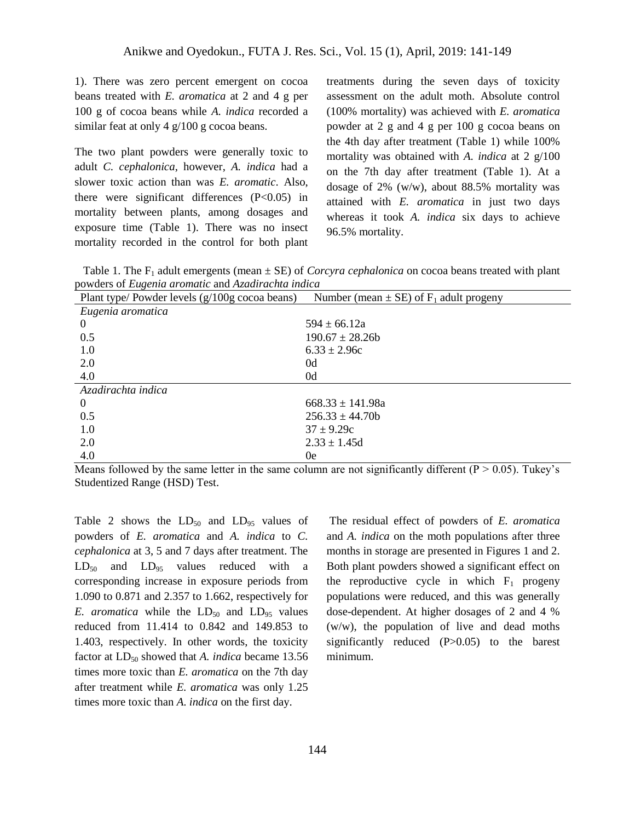1). There was zero percent emergent on cocoa beans treated with *E. aromatica* at 2 and 4 g per 100 g of cocoa beans while *A. indica* recorded a similar feat at only 4 g/100 g cocoa beans.

The two plant powders were generally toxic to adult *C. cephalonica*, however, *A. indica* had a slower toxic action than was *E. aromatic*. Also, there were significant differences  $(P<0.05)$  in mortality between plants, among dosages and exposure time (Table 1). There was no insect mortality recorded in the control for both plant treatments during the seven days of toxicity assessment on the adult moth. Absolute control (100% mortality) was achieved with *E. aromatica* powder at 2 g and 4 g per 100 g cocoa beans on the 4th day after treatment (Table 1) while 100% mortality was obtained with *A. indica* at 2 g/100 on the 7th day after treatment (Table 1). At a dosage of 2% (w/w), about 88.5% mortality was attained with *E. aromatica* in just two days whereas it took *A. indica* six days to achieve 96.5% mortality.

Table 1. The  $F_1$  adult emergents (mean  $\pm$  SE) of *Corcyra cephalonica* on cocoa beans treated with plant powders of *Eugenia aromatic* and *Azadirachta indica*

| Plant type/ Powder levels (g/100g cocoa beans) | Number (mean $\pm$ SE) of F <sub>1</sub> adult progeny |
|------------------------------------------------|--------------------------------------------------------|
| Eugenia aromatica                              |                                                        |
| $\theta$                                       | $594 \pm 66.12a$                                       |
| 0.5                                            | $190.67 \pm 28.26$                                     |
| 1.0                                            | $6.33 \pm 2.96c$                                       |
| 2.0                                            | 0d                                                     |
| 4.0                                            | 0d                                                     |
| Azadirachta indica                             |                                                        |
| $\theta$                                       | $668.33 \pm 141.98a$                                   |
| 0.5                                            | $256.33 \pm 44.70b$                                    |
| 1.0                                            | $37 \pm 9.29c$                                         |
| 2.0                                            | $2.33 \pm 1.45d$                                       |
| 4.0                                            | 0e                                                     |

Means followed by the same letter in the same column are not significantly different  $(P > 0.05)$ . Tukey's Studentized Range (HSD) Test.

Table 2 shows the  $LD_{50}$  and  $LD_{95}$  values of powders of *E. aromatica* and *A. indica* to *C. cephalonica* at 3, 5 and 7 days after treatment. The  $LD_{50}$  and  $LD_{95}$  values reduced with a corresponding increase in exposure periods from 1.090 to 0.871 and 2.357 to 1.662, respectively for *E. aromatica* while the  $LD_{50}$  and  $LD_{95}$  values reduced from 11.414 to 0.842 and 149.853 to 1.403, respectively. In other words, the toxicity factor at LD<sub>50</sub> showed that *A. indica* became 13.56 times more toxic than *E. aromatica* on the 7th day after treatment while *E. aromatica* was only 1.25 times more toxic than *A. indica* on the first day.

The residual effect of powders of *E. aromatica* and *A. indica* on the moth populations after three months in storage are presented in Figures 1 and 2. Both plant powders showed a significant effect on the reproductive cycle in which  $F_1$  progeny populations were reduced, and this was generally dose-dependent. At higher dosages of 2 and 4 % (w/w), the population of live and dead moths significantly reduced (P>0.05) to the barest minimum.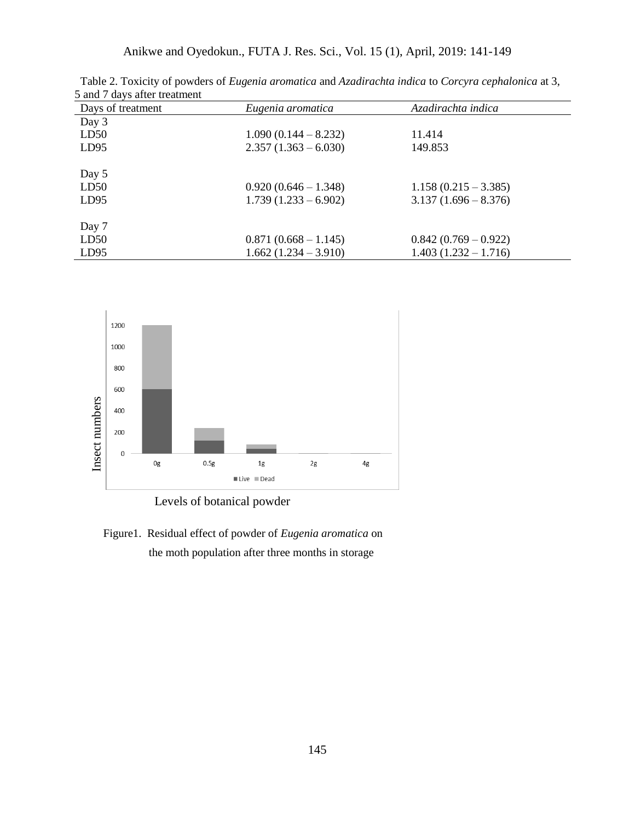Anikwe and Oyedokun., FUTA J. Res. Sci., Vol. 15 (1), April, 2019: 141-149

| Days of treatment | Eugenia aromatica      | Azadirachta indica     |
|-------------------|------------------------|------------------------|
| Day 3             |                        |                        |
| LD50              | $1.090(0.144 - 8.232)$ | 11.414                 |
| LD95              | $2.357(1.363 - 6.030)$ | 149.853                |
| Day 5             |                        |                        |
| LD50              | $0.920(0.646 - 1.348)$ | $1.158(0.215 - 3.385)$ |
| LD95              | $1.739(1.233 - 6.902)$ | $3.137(1.696 - 8.376)$ |
| Day 7             |                        |                        |
| LD50              | $0.871(0.668 - 1.145)$ | $0.842(0.769-0.922)$   |
| LD95              | $1.662(1.234 - 3.910)$ | $1.403(1.232 - 1.716)$ |

 Table 2. Toxicity of powders of *Eugenia aromatica* and *Azadirachta indica* to *Corcyra cephalonica* at 3, 5 and 7 days after treatment



Levels of botanical powder

Figure1. Residual effect of powder of *Eugenia aromatica* on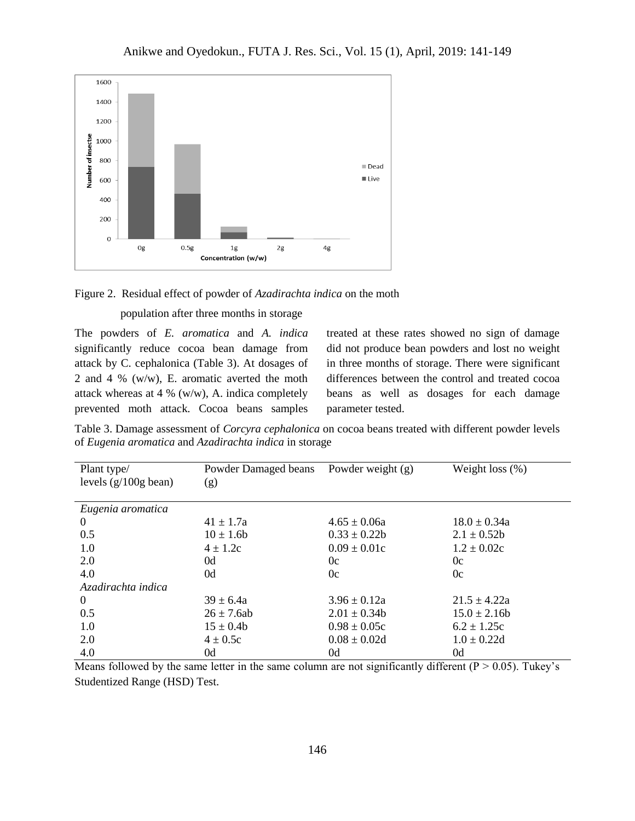



The powders of *E. aromatica* and *A. indica* significantly reduce cocoa bean damage from attack by C. cephalonica (Table 3). At dosages of 2 and 4 % (w/w), E. aromatic averted the moth attack whereas at 4 % (w/w), A. indica completely prevented moth attack. Cocoa beans samples

treated at these rates showed no sign of damage did not produce bean powders and lost no weight in three months of storage. There were significant differences between the control and treated cocoa beans as well as dosages for each damage parameter tested.

Table 3. Damage assessment of *Corcyra cephalonica* on cocoa beans treated with different powder levels of *Eugenia aromatica* and *Azadirachta indica* in storage

| Plant type/                    | Powder Damaged beans | Powder weight $(g)$ | Weight loss $(\%)$ |
|--------------------------------|----------------------|---------------------|--------------------|
| levels $(g/100g \text{ bean})$ | (g)                  |                     |                    |
| Eugenia aromatica              |                      |                     |                    |
| $\Omega$                       | $41 \pm 1.7a$        | $4.65 \pm 0.06a$    | $18.0 \pm 0.34a$   |
| 0.5                            | $10 \pm 1.6b$        | $0.33 \pm 0.22b$    | $2.1 \pm 0.52b$    |
| 1.0                            | $4 \pm 1.2c$         | $0.09 \pm 0.01c$    | $1.2 \pm 0.02c$    |
| 2.0                            | 0d                   | 0c                  | 0c                 |
| 4.0                            | 0d                   | 0c                  | 0c                 |
| Azadirachta indica             |                      |                     |                    |
| $\Omega$                       | $39 \pm 6.4a$        | $3.96 \pm 0.12a$    | $21.5 \pm 4.22a$   |
| 0.5                            | $26 \pm 7.6ab$       | $2.01 \pm 0.34$     | $15.0 \pm 2.16b$   |
| 1.0                            | $15 \pm 0.4b$        | $0.98 \pm 0.05c$    | $6.2 \pm 1.25c$    |
| 2.0                            | $4 \pm 0.5c$         | $0.08 \pm 0.02d$    | $1.0 \pm 0.22d$    |
| 4.0                            | 0d                   | 0d                  | 0d                 |

Means followed by the same letter in the same column are not significantly different ( $P > 0.05$ ). Tukey's Studentized Range (HSD) Test.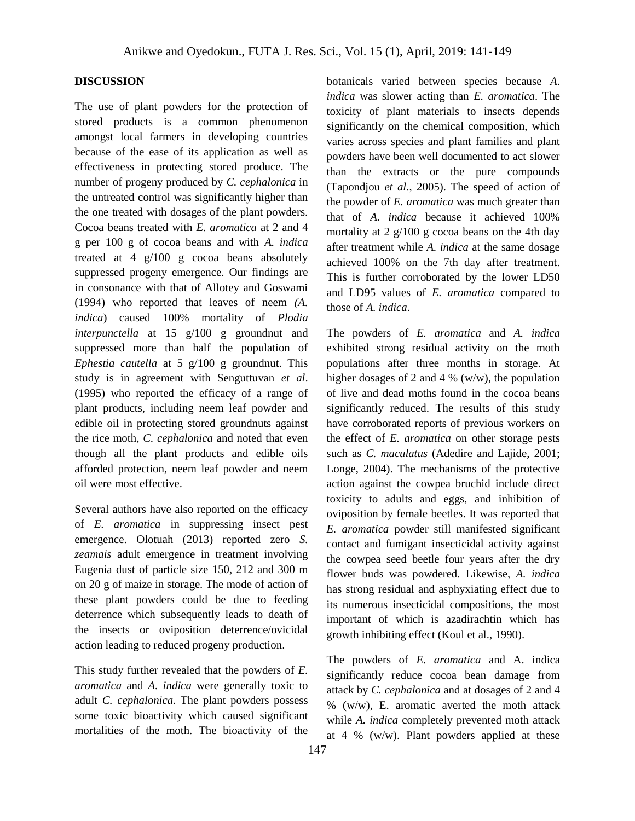### **DISCUSSION**

The use of plant powders for the protection of stored products is a common phenomenon amongst local farmers in developing countries because of the ease of its application as well as effectiveness in protecting stored produce. The number of progeny produced by *C. cephalonica* in the untreated control was significantly higher than the one treated with dosages of the plant powders. Cocoa beans treated with *E. aromatica* at 2 and 4 g per 100 g of cocoa beans and with *A. indica* treated at 4 g/100 g cocoa beans absolutely suppressed progeny emergence. Our findings are in consonance with that of Allotey and Goswami (1994) who reported that leaves of neem *(A. indica*) caused 100% mortality of *Plodia interpunctella* at 15 g/100 g groundnut and suppressed more than half the population of *Ephestia cautella* at 5 g/100 g groundnut. This study is in agreement with Senguttuvan *et al*. (1995) who reported the efficacy of a range of plant products, including neem leaf powder and edible oil in protecting stored groundnuts against the rice moth, *C. cephalonica* and noted that even though all the plant products and edible oils afforded protection, neem leaf powder and neem oil were most effective.

Several authors have also reported on the efficacy of *E. aromatica* in suppressing insect pest emergence. Olotuah (2013) reported zero *S. zeamais* adult emergence in treatment involving Eugenia dust of particle size 150, 212 and 300 m on 20 g of maize in storage. The mode of action of these plant powders could be due to feeding deterrence which subsequently leads to death of the insects or oviposition deterrence/ovicidal action leading to reduced progeny production.

This study further revealed that the powders of *E. aromatica* and *A. indica* were generally toxic to adult *C. cephalonica*. The plant powders possess some toxic bioactivity which caused significant mortalities of the moth. The bioactivity of the

botanicals varied between species because *A. indica* was slower acting than *E. aromatica*. The toxicity of plant materials to insects depends significantly on the chemical composition, which varies across species and plant families and plant powders have been well documented to act slower than the extracts or the pure compounds (Tapondjou *et al*., 2005). The speed of action of the powder of *E. aromatica* was much greater than that of *A. indica* because it achieved 100% mortality at 2 g/100 g cocoa beans on the 4th day after treatment while *A. indica* at the same dosage achieved 100% on the 7th day after treatment. This is further corroborated by the lower LD50 and LD95 values of *E. aromatica* compared to those of *A. indica*.

The powders of *E. aromatica* and *A. indica* exhibited strong residual activity on the moth populations after three months in storage. At higher dosages of 2 and 4 % (w/w), the population of live and dead moths found in the cocoa beans significantly reduced. The results of this study have corroborated reports of previous workers on the effect of *E. aromatica* on other storage pests such as *C. maculatus* (Adedire and Lajide, 2001; Longe, 2004). The mechanisms of the protective action against the cowpea bruchid include direct toxicity to adults and eggs, and inhibition of oviposition by female beetles. It was reported that *E. aromatica* powder still manifested significant contact and fumigant insecticidal activity against the cowpea seed beetle four years after the dry flower buds was powdered. Likewise, *A. indica* has strong residual and asphyxiating effect due to its numerous insecticidal compositions, the most important of which is azadirachtin which has growth inhibiting effect (Koul et al., 1990).

The powders of *E. aromatica* and A. indica significantly reduce cocoa bean damage from attack by *C. cephalonica* and at dosages of 2 and 4  $%$  (w/w), E. aromatic averted the moth attack while *A. indica* completely prevented moth attack at 4 %  $(w/w)$ . Plant powders applied at these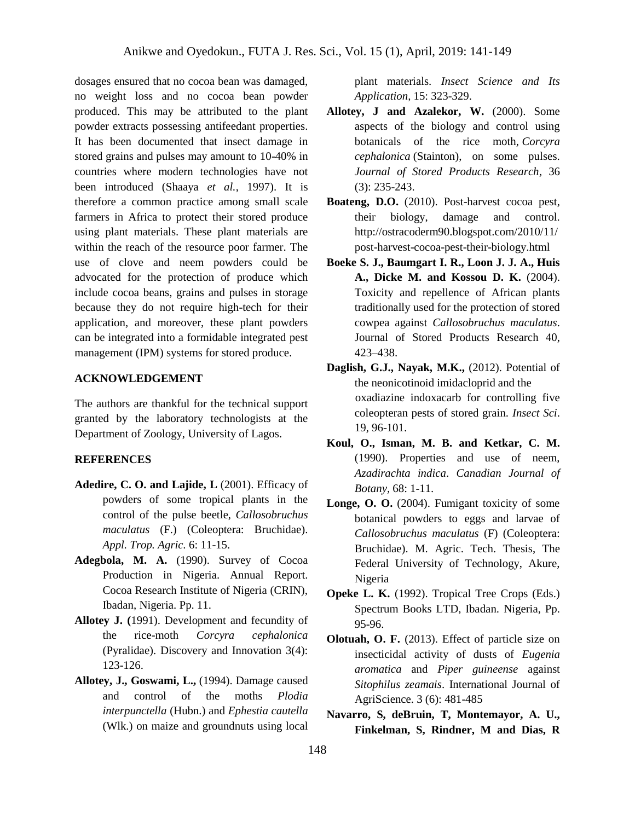dosages ensured that no cocoa bean was damaged, no weight loss and no cocoa bean powder produced. This may be attributed to the plant powder extracts possessing antifeedant properties. It has been documented that insect damage in stored grains and pulses may amount to 10-40% in countries where modern technologies have not been introduced (Shaaya *et al.*, 1997). It is therefore a common practice among small scale farmers in Africa to protect their stored produce using plant materials. These plant materials are within the reach of the resource poor farmer. The use of clove and neem powders could be advocated for the protection of produce which include cocoa beans, grains and pulses in storage because they do not require high-tech for their application, and moreover, these plant powders can be integrated into a formidable integrated pest management (IPM) systems for stored produce.

### **ACKNOWLEDGEMENT**

The authors are thankful for the technical support granted by the laboratory technologists at the Department of Zoology, University of Lagos.

#### **REFERENCES**

- **Adedire, C. O. and Lajide, L** (2001). Efficacy of powders of some tropical plants in the control of the pulse beetle, *Callosobruchus maculatus* (F.) (Coleoptera: Bruchidae). *Appl. Trop. Agric.* 6: 11-15.
- **Adegbola, M. A.** (1990). Survey of Cocoa Production in Nigeria. Annual Report. Cocoa Research Institute of Nigeria (CRIN), Ibadan, Nigeria. Pp. 11.
- **Allotey J. (**1991). Development and fecundity of the rice-moth *Corcyra cephalonica* (Pyralidae). Discovery and Innovation 3(4): 123-126.
- **Allotey, J., Goswami, L.,** (1994). Damage caused and control of the moths *Plodia interpunctella* (Hubn.) and *Ephestia cautella* (Wlk.) on maize and groundnuts using local

plant materials. *Insect Science and Its Application,* 15: 323-329.

- **Allotey, J and Azalekor, W.** (2000). Some aspects of the biology and control using botanicals of the rice moth, *Corcyra cephalonica* (Stainton), on some pulses. *Journal of Stored Products Research,* 36 (3): 235-243.
- **Boateng, D.O.** (2010). Post-harvest cocoa pest, their biology, damage and control. http://ostracoderm90.blogspot.com/2010/11/ post-harvest-cocoa-pest-their-biology.html
- **Boeke S. J., Baumgart I. R., Loon J. J. A., Huis A., Dicke M. and Kossou D. K.** (2004). Toxicity and repellence of African plants traditionally used for the protection of stored cowpea against *Callosobruchus maculatus*. Journal of Stored Products Research 40, 423–438.
- **Daglish, G.J., Nayak, M.K.,** (2012). Potential of the neonicotinoid imidacloprid and the oxadiazine indoxacarb for controlling five coleopteran pests of stored grain. *Insect Sci*. 19, 96-101.
- **Koul, O., Isman, M. B. and Ketkar, C. M.** (1990). Properties and use of neem, *Azadirachta indica*. *Canadian Journal of Botany,* 68: 1-11.
- **Longe, O. O.** (2004). Fumigant toxicity of some botanical powders to eggs and larvae of *Callosobruchus maculatus* (F) (Coleoptera: Bruchidae). M. Agric. Tech. Thesis, The Federal University of Technology, Akure, Nigeria
- **Opeke L. K.** (1992). Tropical Tree Crops (Eds.) Spectrum Books LTD, Ibadan. Nigeria, Pp. 95-96.
- **Olotuah, O. F.** (2013). Effect of particle size on insecticidal activity of dusts of *Eugenia aromatica* and *Piper guineense* against *Sitophilus zeamais*. International Journal of AgriScience. 3 (6): 481-485
- **Navarro, S, deBruin, T, Montemayor, A. U., Finkelman, S, Rindner, M and Dias, R**